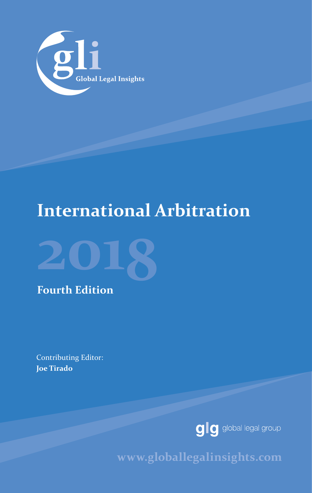

# **International Arbitration**



**Fourth Edition**

Contributing Editor: **Joe Tirado**



www.globallegalinsights.com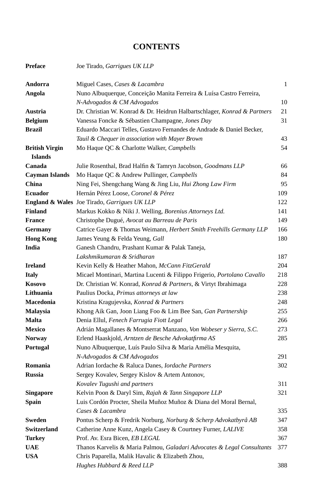### **CONTENTS**

| <b>Preface</b>        | Joe Tirado, Garrigues UK LLP                                             |     |
|-----------------------|--------------------------------------------------------------------------|-----|
| Andorra               | Miguel Cases, Cases & Lacambra                                           | 1   |
| Angola                | Nuno Albuquerque, Conceição Manita Ferreira & Luísa Castro Ferreira,     |     |
|                       | N-Advogados & CM Advogados                                               | 10  |
| Austria               | Dr. Christian W. Konrad & Dr. Heidrun Halbartschlager, Konrad & Partners | 21  |
| <b>Belgium</b>        | Vanessa Foncke & Sébastien Champagne, Jones Day                          | 31  |
| Brazil                | Eduardo Maccari Telles, Gustavo Fernandes de Andrade & Daniel Becker,    |     |
|                       | Tauil & Chequer in association with Mayer Brown                          | 43  |
| <b>British Virgin</b> | Mo Haque QC & Charlotte Walker, Campbells                                | 54  |
| <b>Islands</b>        |                                                                          |     |
| Canada                | Julie Rosenthal, Brad Halfin & Tamryn Jacobson, Goodmans LLP             | 66  |
| <b>Cayman Islands</b> | Mo Haque QC & Andrew Pullinger, Campbells                                | 84  |
| China                 | Ning Fei, Shengchang Wang & Jing Liu, Hui Zhong Law Firm                 | 95  |
| <b>Ecuador</b>        | Hernán Pérez Loose, Coronel & Pérez                                      | 109 |
|                       | England & Wales Joe Tirado, Garrigues UK LLP                             | 122 |
| <b>Finland</b>        | Markus Kokko & Niki J. Welling, Borenius Attorneys Ltd.                  | 141 |
| <b>France</b>         | Christophe Dugué, Avocat au Barreau de Paris                             | 149 |
| Germany               | Catrice Gayer & Thomas Weimann, Herbert Smith Freehills Germany LLP      | 166 |
| <b>Hong Kong</b>      | James Yeung & Felda Yeung, Gall                                          | 180 |
| India                 | Ganesh Chandru, Prashant Kumar & Palak Taneja,                           |     |
|                       | Lakshmikumaran & Sridharan                                               | 187 |
| <b>Ireland</b>        | Kevin Kelly & Heather Mahon, McCann FitzGerald                           | 204 |
| <b>Italy</b>          | Micael Montinari, Martina Lucenti & Filippo Frigerio, Portolano Cavallo  | 218 |
| Kosovo                | Dr. Christian W. Konrad, Konrad & Partners, & Virtyt Ibrahimaga          | 228 |
| Lithuania             | Paulius Docka, Primus attorneys at law                                   | 238 |
| Macedonia             | Kristina Kragujevska, Konrad & Partners                                  | 248 |
| <b>Malaysia</b>       | Khong Aik Gan, Joon Liang Foo & Lim Bee San, Gan Partnership             | 255 |
| <b>Malta</b>          | Denia Ellul, Fenech Farrugia Fiott Legal                                 | 266 |
| <b>Mexico</b>         | Adrián Magallanes & Montserrat Manzano, Von Wobeser y Sierra, S.C.       | 273 |
| <b>Norway</b>         | Erlend Haaskjold, Arntzen de Besche Advokatfirma AS                      | 285 |
| Portugal              | Nuno Albuquerque, Luís Paulo Silva & Maria Amélia Mesquita,              |     |
|                       | N-Advogados & CM Advogados                                               | 291 |
| Romania               | Adrian Iordache & Raluca Danes, Iordache Partners                        | 302 |
| <b>Russia</b>         | Sergey Kovalev, Sergey Kislov & Artem Antonov,                           |     |
|                       | Kovalev Tugushi and partners                                             | 311 |
| <b>Singapore</b>      | Kelvin Poon & Daryl Sim, Rajah & Tann Singapore LLP                      | 321 |
| <b>Spain</b>          | Luis Cordón Procter, Sheila Muñoz Muñoz & Diana del Moral Bernal,        |     |
|                       | Cases & Lacambra                                                         | 335 |
| <b>Sweden</b>         | Pontus Scherp & Fredrik Norburg, Norburg & Scherp Advokatbyrå AB         | 347 |
| <b>Switzerland</b>    | Catherine Anne Kunz, Angela Casey & Courtney Furner, LALIVE              | 358 |
| <b>Turkey</b>         | Prof. Av. Esra Bicen, EB LEGAL                                           | 367 |
| <b>UAE</b>            | Thanos Karvelis & Maria Palmou, Galadari Advocates & Legal Consultants   | 377 |
| <b>USA</b>            | Chris Paparella, Malik Havalic & Elizabeth Zhou,                         |     |
|                       | Hughes Hubbard & Reed LLP                                                | 388 |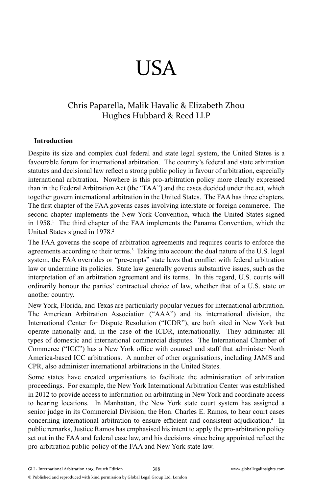# USA

### Chris Paparella, Malik Havalic & Elizabeth Zhou Hughes Hubbard & Reed LLP

#### **Introduction**

Despite its size and complex dual federal and state legal system, the United States is a favourable forum for international arbitration. The country's federal and state arbitration statutes and decisional law reflect a strong public policy in favour of arbitration, especially international arbitration. Nowhere is this pro-arbitration policy more clearly expressed than in the Federal Arbitration Act (the "FAA") and the cases decided under the act, which together govern international arbitration in the United States. The FAA has three chapters. The first chapter of the FAA governs cases involving interstate or foreign commerce. The second chapter implements the New York Convention, which the United States signed in 1958.<sup>1</sup> The third chapter of the FAA implements the Panama Convention, which the United States signed in 1978.<sup>2</sup>

The FAA governs the scope of arbitration agreements and requires courts to enforce the agreements according to their terms.<sup>3</sup> Taking into account the dual nature of the U.S. legal system, the FAA overrides or "pre-empts" state laws that conflict with federal arbitration law or undermine its policies. State law generally governs substantive issues, such as the interpretation of an arbitration agreement and its terms. In this regard, U.S. courts will ordinarily honour the parties' contractual choice of law, whether that of a U.S. state or another country.

New York, Florida, and Texas are particularly popular venues for international arbitration. The American Arbitration Association ("AAA") and its international division, the International Center for Dispute Resolution ("ICDR"), are both sited in New York but operate nationally and, in the case of the ICDR, internationally. They administer all types of domestic and international commercial disputes. The International Chamber of Commerce ("ICC") has a New York office with counsel and staff that administer North America-based ICC arbitrations. A number of other organisations, including JAMS and CPR, also administer international arbitrations in the United States.

Some states have created organisations to facilitate the administration of arbitration proceedings. For example, the New York International Arbitration Center was established in 2012 to provide access to information on arbitrating in New York and coordinate access to hearing locations. In Manhattan, the New York state court system has assigned a senior judge in its Commercial Division, the Hon. Charles E. Ramos, to hear court cases concerning international arbitration to ensure efficient and consistent adjudication.<sup>4</sup> In public remarks, Justice Ramos has emphasised his intent to apply the pro-arbitration policy set out in the FAA and federal case law, and his decisions since being appointed reflect the pro-arbitration public policy of the FAA and New York state law.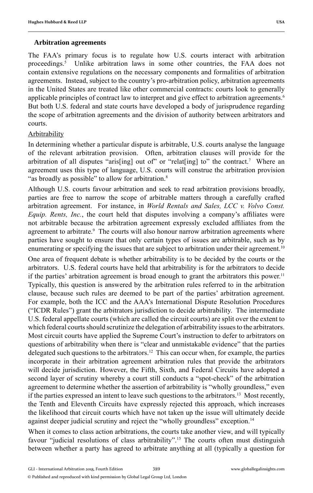#### **Arbitration agreements**

The FAA's primary focus is to regulate how U.S. courts interact with arbitration proceedings.<sup>5</sup> Unlike arbitration laws in some other countries, the FAA does not contain extensive regulations on the necessary components and formalities of arbitration agreements. Instead, subject to the country's pro-arbitration policy, arbitration agreements in the United States are treated like other commercial contracts: courts look to generally applicable principles of contract law to interpret and give effect to arbitration agreements.<sup>6</sup> But both U.S. federal and state courts have developed a body of jurisprudence regarding the scope of arbitration agreements and the division of authority between arbitrators and courts.

#### Arbitrability

In determining whether a particular dispute is arbitrable, U.S. courts analyse the language of the relevant arbitration provision. Often, arbitration clauses will provide for the arbitration of all disputes "aris[ing] out of" or "relat[ing] to" the contract.<sup>7</sup> Where an agreement uses this type of language, U.S. courts will construe the arbitration provision "as broadly as possible" to allow for arbitration.<sup>8</sup>

Although U.S. courts favour arbitration and seek to read arbitration provisions broadly, parties are free to narrow the scope of arbitrable matters through a carefully crafted arbitration agreement. For instance, in *World Rentals and Sales, LCC v. Volvo Const. Equip. Rents, Inc., the court held that disputes involving a company's affiliates were* not arbitrable because the arbitration agreement expressly excluded affiliates from the agreement to arbitrate.<sup>9</sup> The courts will also honour narrow arbitration agreements where parties have sought to ensure that only certain types of issues are arbitrable, such as by enumerating or specifying the issues that are subject to arbitration under their agreement.<sup>10</sup>

One area of frequent debate is whether arbitrability is to be decided by the courts or the arbitrators. U.S. federal courts have held that arbitrability is for the arbitrators to decide if the parties' arbitration agreement is broad enough to grant the arbitrators this power.<sup>11</sup> Typically, this question is answered by the arbitration rules referred to in the arbitration clause, because such rules are deemed to be part of the parties' arbitration agreement. For example, both the ICC and the AAA's International Dispute Resolution Procedures ("ICDR Rules") grant the arbitrators jurisdiction to decide arbitrability. The intermediate U.S. federal appellate courts (which are called the circuit courts) are split over the extent to which federal courts should scrutinize the delegation of arbitrability issues to the arbitrators. Most circuit courts have applied the Supreme Court's instruction to defer to arbitrators on questions of arbitrability when there is "clear and unmistakable evidence" that the parties delegated such questions to the arbitrators.<sup>12</sup> This can occur when, for example, the parties incorporate in their arbitration agreement arbitration rules that provide the arbitrators will decide jurisdiction. However, the Fifth, Sixth, and Federal Circuits have adopted a second layer of scrutiny whereby a court still conducts a "spot-check" of the arbitration agreement to determine whether the assertion of arbitrability is "wholly groundless," even if the parties expressed an intent to leave such questions to the arbitrators.<sup>13</sup> Most recently, the Tenth and Eleventh Circuits have expressly rejected this approach, which increases the likelihood that circuit courts which have not taken up the issue will ultimately decide against deeper judicial scrutiny and reject the "wholly groundless" exception.<sup>14</sup>

When it comes to class action arbitrations, the courts take another view, and will typically favour "judicial resolutions of class arbitrability".<sup>15</sup> The courts often must distinguish between whether a party has agreed to arbitrate anything at all (typically a question for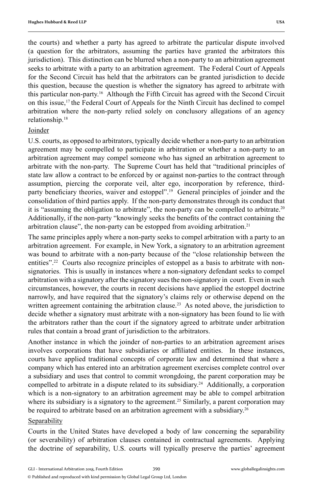the courts) and whether a party has agreed to arbitrate the particular dispute involved (a question for the arbitrators, assuming the parties have granted the arbitrators this jurisdiction). This distinction can be blurred when a non-party to an arbitration agreement seeks to arbitrate with a party to an arbitration agreement. The Federal Court of Appeals for the Second Circuit has held that the arbitrators can be granted jurisdiction to decide this question, because the question is whether the signatory has agreed to arbitrate with this particular non-party.16 Although the Fifth Circuit has agreed with the Second Circuit on this issue,<sup>17</sup> the Federal Court of Appeals for the Ninth Circuit has declined to compel

arbitration where the non-party relied solely on conclusory allegations of an agency relationship.18

#### Joinder

U.S. courts, as opposed to arbitrators, typically decide whether a non-party to an arbitration agreement may be compelled to participate in arbitration or whether a non-party to an arbitration agreement may compel someone who has signed an arbitration agreement to arbitrate with the non-party. The Supreme Court has held that "traditional principles of state law allow a contract to be enforced by or against non-parties to the contract through assumption, piercing the corporate veil, alter ego, incorporation by reference, thirdparty beneficiary theories, waiver and estoppel".<sup>19</sup> General principles of joinder and the consolidation of third parties apply. If the non-party demonstrates through its conduct that it is "assuming the obligation to arbitrate", the non-party can be compelled to arbitrate.20 Additionally, if the non-party "knowingly seeks the benefits of the contract containing the arbitration clause", the non-party can be estopped from avoiding arbitration.<sup>21</sup>

The same principles apply where a non-party seeks to compel arbitration with a party to an arbitration agreement. For example, in New York, a signatory to an arbitration agreement was bound to arbitrate with a non-party because of the "close relationship between the entities".<sup>22</sup> Courts also recognize principles of estoppel as a basis to arbitrate with nonsignatories. This is usually in instances where a non-signatory defendant seeks to compel arbitration with a signatory after the signatory sues the non-signatory in court. Even in such circumstances, however, the courts in recent decisions have applied the estoppel doctrine narrowly, and have required that the signatory's claims rely or otherwise depend on the written agreement containing the arbitration clause.<sup>23</sup> As noted above, the jurisdiction to decide whether a signatory must arbitrate with a non-signatory has been found to lie with the arbitrators rather than the court if the signatory agreed to arbitrate under arbitration rules that contain a broad grant of jurisdiction to the arbitrators.

Another instance in which the joinder of non-parties to an arbitration agreement arises involves corporations that have subsidiaries or affiliated entities. In these instances, courts have applied traditional concepts of corporate law and determined that where a company which has entered into an arbitration agreement exercises complete control over a subsidiary and uses that control to commit wrongdoing, the parent corporation may be compelled to arbitrate in a dispute related to its subsidiary.24 Additionally, a corporation which is a non-signatory to an arbitration agreement may be able to compel arbitration where its subsidiary is a signatory to the agreement.<sup>25</sup> Similarly, a parent corporation may be required to arbitrate based on an arbitration agreement with a subsidiary.<sup>26</sup>

#### Separability

Courts in the United States have developed a body of law concerning the separability (or severability) of arbitration clauses contained in contractual agreements. Applying the doctrine of separability, U.S. courts will typically preserve the parties' agreement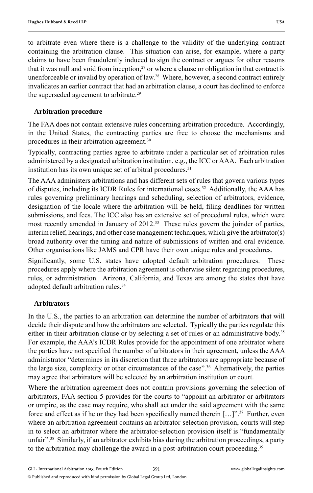to arbitrate even where there is a challenge to the validity of the underlying contract containing the arbitration clause. This situation can arise, for example, where a party claims to have been fraudulently induced to sign the contract or argues for other reasons that it was null and void from inception, $27$  or where a clause or obligation in that contract is unenforceable or invalid by operation of law.28 Where, however, a second contract entirely invalidates an earlier contract that had an arbitration clause, a court has declined to enforce the superseded agreement to arbitrate.<sup>29</sup>

#### **Arbitration procedure**

The FAA does not contain extensive rules concerning arbitration procedure. Accordingly, in the United States, the contracting parties are free to choose the mechanisms and procedures in their arbitration agreement.<sup>30</sup>

Typically, contracting parties agree to arbitrate under a particular set of arbitration rules administered by a designated arbitration institution, e.g., the ICC or AAA. Each arbitration institution has its own unique set of arbitral procedures.<sup>31</sup>

The AAA administers arbitrations and has different sets of rules that govern various types of disputes, including its ICDR Rules for international cases.<sup>32</sup> Additionally, the AAA has rules governing preliminary hearings and scheduling, selection of arbitrators, evidence, designation of the locale where the arbitration will be held, filing deadlines for written submissions, and fees. The ICC also has an extensive set of procedural rules, which were most recently amended in January of 2012.<sup>33</sup> These rules govern the joinder of parties, interim relief, hearings, and other case management techniques, which give the arbitrator(s) broad authority over the timing and nature of submissions of written and oral evidence. Other organisations like JAMS and CPR have their own unique rules and procedures.

Significantly, some U.S. states have adopted default arbitration procedures. These procedures apply where the arbitration agreement is otherwise silent regarding procedures, rules, or administration. Arizona, California, and Texas are among the states that have adopted default arbitration rules.<sup>34</sup>

#### **Arbitrators**

In the U.S., the parties to an arbitration can determine the number of arbitrators that will decide their dispute and how the arbitrators are selected. Typically the parties regulate this either in their arbitration clause or by selecting a set of rules or an administrative body.<sup>35</sup> For example, the AAA's ICDR Rules provide for the appointment of one arbitrator where the parties have not specified the number of arbitrators in their agreement, unless the AAA administrator "determines in its discretion that three arbitrators are appropriate because of the large size, complexity or other circumstances of the case".36 Alternatively, the parties may agree that arbitrators will be selected by an arbitration institution or court.

Where the arbitration agreement does not contain provisions governing the selection of arbitrators, FAA section 5 provides for the courts to "appoint an arbitrator or arbitrators or umpire, as the case may require, who shall act under the said agreement with the same force and effect as if he or they had been specifically named therein  $[...]$ ".<sup>37</sup> Further, even where an arbitration agreement contains an arbitrator-selection provision, courts will step in to select an arbitrator where the arbitrator-selection provision itself is "fundamentally unfair".<sup>38</sup> Similarly, if an arbitrator exhibits bias during the arbitration proceedings, a party to the arbitration may challenge the award in a post-arbitration court proceeding.<sup>39</sup>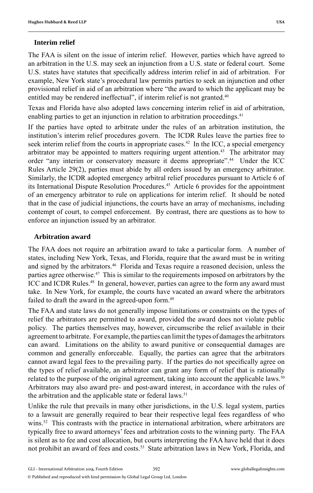#### **Interim relief**

The FAA is silent on the issue of interim relief. However, parties which have agreed to an arbitration in the U.S. may seek an injunction from a U.S. state or federal court. Some U.S. states have statutes that specifically address interim relief in aid of arbitration. For example, New York state's procedural law permits parties to seek an injunction and other provisional relief in aid of an arbitration where "the award to which the applicant may be entitled may be rendered ineffectual", if interim relief is not granted.<sup>40</sup>

Texas and Florida have also adopted laws concerning interim relief in aid of arbitration, enabling parties to get an injunction in relation to arbitration proceedings.<sup>41</sup>

If the parties have opted to arbitrate under the rules of an arbitration institution, the institution's interim relief procedures govern. The ICDR Rules leave the parties free to seek interim relief from the courts in appropriate cases.<sup>42</sup> In the ICC, a special emergency arbitrator may be appointed to matters requiring urgent attention.<sup>43</sup> The arbitrator may order "any interim or conservatory measure it deems appropriate".44 Under the ICC Rules Article 29(2), parties must abide by all orders issued by an emergency arbitrator. Similarly, the ICDR adopted emergency arbitral relief procedures pursuant to Article 6 of its International Dispute Resolution Procedures.45 Article 6 provides for the appointment of an emergency arbitrator to rule on applications for interim relief. It should be noted that in the case of judicial injunctions, the courts have an array of mechanisms, including contempt of court, to compel enforcement. By contrast, there are questions as to how to enforce an injunction issued by an arbitrator.

#### **Arbitration award**

The FAA does not require an arbitration award to take a particular form. A number of states, including New York, Texas, and Florida, require that the award must be in writing and signed by the arbitrators.<sup>46</sup> Florida and Texas require a reasoned decision, unless the parties agree otherwise.<sup>47</sup> This is similar to the requirements imposed on arbitrators by the ICC and ICDR Rules.<sup>48</sup> In general, however, parties can agree to the form any award must take. In New York, for example, the courts have vacated an award where the arbitrators failed to draft the award in the agreed-upon form.<sup>49</sup>

The FAA and state laws do not generally impose limitations or constraints on the types of relief the arbitrators are permitted to award, provided the award does not violate public policy. The parties themselves may, however, circumscribe the relief available in their agreement to arbitrate. For example, the parties can limit the types of damages the arbitrators can award. Limitations on the ability to award punitive or consequential damages are common and generally enforceable. Equally, the parties can agree that the arbitrators cannot award legal fees to the prevailing party. If the parties do not specifically agree on the types of relief available, an arbitrator can grant any form of relief that is rationally related to the purpose of the original agreement, taking into account the applicable laws.<sup>50</sup> Arbitrators may also award pre- and post-award interest, in accordance with the rules of the arbitration and the applicable state or federal laws.<sup>51</sup>

Unlike the rule that prevails in many other jurisdictions, in the U.S. legal system, parties to a lawsuit are generally required to bear their respective legal fees regardless of who wins.<sup>52</sup> This contrasts with the practice in international arbitration, where arbitrators are typically free to award attorneys' fees and arbitration costs to the winning party. The FAA is silent as to fee and cost allocation, but courts interpreting the FAA have held that it does not prohibit an award of fees and costs.<sup>53</sup> State arbitration laws in New York, Florida, and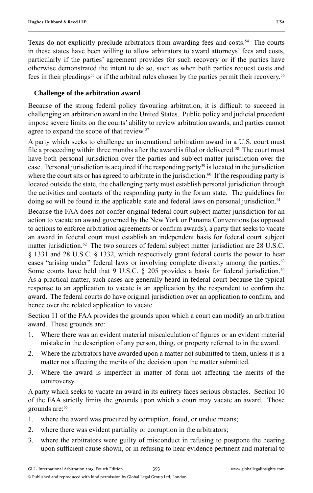Texas do not explicitly preclude arbitrators from awarding fees and costs.<sup>54</sup> The courts in these states have been willing to allow arbitrators to award attorneys' fees and costs, particularly if the parties' agreement provides for such recovery or if the parties have otherwise demonstrated the intent to do so, such as when both parties request costs and fees in their pleadings55 or if the arbitral rules chosen by the parties permit their recovery.56

#### **Challenge of the arbitration award**

Because of the strong federal policy favouring arbitration, it is difficult to succeed in challenging an arbitration award in the United States. Public policy and judicial precedent impose severe limits on the courts' ability to review arbitration awards, and parties cannot agree to expand the scope of that review.<sup>57</sup>

A party which seeks to challenge an international arbitration award in a U.S. court must file a proceeding within three months after the award is filed or delivered.<sup>58</sup> The court must have both personal jurisdiction over the parties and subject matter jurisdiction over the case. Personal jurisdiction is acquired if the responding party<sup>59</sup> is located in the jurisdiction where the court sits or has agreed to arbitrate in the jurisdiction. $60$  If the responding party is located outside the state, the challenging party must establish personal jurisdiction through the activities and contacts of the responding party in the forum state. The guidelines for doing so will be found in the applicable state and federal laws on personal jurisdiction.<sup>61</sup>

Because the FAA does not confer original federal court subject matter jurisdiction for an action to vacate an award governed by the New York or Panama Conventions (as opposed to actions to enforce arbitration agreements or confirm awards), a party that seeks to vacate an award in federal court must establish an independent basis for federal court subject matter jurisdiction.<sup>62</sup> The two sources of federal subject matter jurisdiction are 28 U.S.C. § 1331 and 28 U.S.C. § 1332, which respectively grant federal courts the power to hear cases "arising under" federal laws or involving complete diversity among the parties.<sup>63</sup> Some courts have held that  $9 \text{ U.S.C. }$  § 205 provides a basis for federal jurisdiction.<sup>64</sup> As a practical matter, such cases are generally heard in federal court because the typical response to an application to vacate is an application by the respondent to confirm the award. The federal courts do have original jurisdiction over an application to confirm, and hence over the related application to vacate.

Section 11 of the FAA provides the grounds upon which a court can modify an arbitration award. These grounds are:

- 1. Where there was an evident material miscalculation of figures or an evident material mistake in the description of any person, thing, or property referred to in the award.
- 2. Where the arbitrators have awarded upon a matter not submitted to them, unless it is a matter not affecting the merits of the decision upon the matter submitted.
- 3. Where the award is imperfect in matter of form not affecting the merits of the controversy.

A party which seeks to vacate an award in its entirety faces serious obstacles. Section 10 of the FAA strictly limits the grounds upon which a court may vacate an award. Those grounds are:<sup>65</sup>

- 1. where the award was procured by corruption, fraud, or undue means;
- 2. where there was evident partiality or corruption in the arbitrators;
- 3. where the arbitrators were guilty of misconduct in refusing to postpone the hearing upon sufficient cause shown, or in refusing to hear evidence pertinent and material to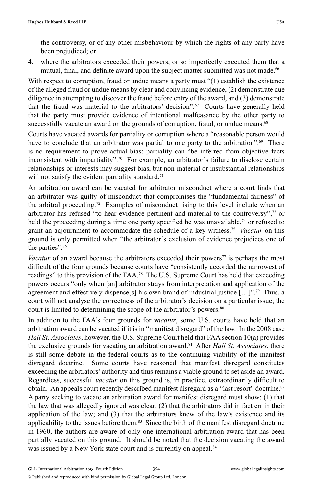the controversy, or of any other misbehaviour by which the rights of any party have been prejudiced; or

4. where the arbitrators exceeded their powers, or so imperfectly executed them that a mutual, final, and definite award upon the subject matter submitted was not made.<sup>66</sup>

With respect to corruption, fraud or undue means a party must "(1) establish the existence of the alleged fraud or undue means by clear and convincing evidence, (2) demonstrate due diligence in attempting to discover the fraud before entry of the award, and (3) demonstrate that the fraud was material to the arbitrators' decision".<sup> $67$ </sup> Courts have generally held that the party must provide evidence of intentional malfeasance by the other party to successfully vacate an award on the grounds of corruption, fraud, or undue means.<sup>68</sup>

Courts have vacated awards for partiality or corruption where a "reasonable person would have to conclude that an arbitrator was partial to one party to the arbitration".<sup>69</sup> There is no requirement to prove actual bias; partiality can "be inferred from objective facts inconsistent with impartiality".70 For example, an arbitrator's failure to disclose certain relationships or interests may suggest bias, but non-material or insubstantial relationships will not satisfy the evident partiality standard.<sup>71</sup>

An arbitration award can be vacated for arbitrator misconduct where a court finds that an arbitrator was guilty of misconduct that compromises the "fundamental fairness" of the arbitral proceeding.<sup>72</sup> Examples of misconduct rising to this level include when an arbitrator has refused "to hear evidence pertinent and material to the controversy",<sup>73</sup> or held the proceeding during a time one party specified he was unavailable,<sup>74</sup> or refused to grant an adjournment to accommodate the schedule of a key witness.75 *Vacatur* on this ground is only permitted when "the arbitrator's exclusion of evidence prejudices one of the parties".76

*Vacatur* of an award because the arbitrators exceeded their powers<sup>77</sup> is perhaps the most difficult of the four grounds because courts have "consistently accorded the narrowest of readings" to this provision of the FAA.<sup>78</sup> The U.S. Supreme Court has held that exceeding powers occurs "only when [an] arbitrator strays from interpretation and application of the agreement and effectively dispense[s] his own brand of industrial justice  $[\dots]$ ".<sup>79</sup> Thus, a court will not analyse the correctness of the arbitrator's decision on a particular issue; the court is limited to determining the scope of the arbitrator's powers.<sup>80</sup>

In addition to the FAA's four grounds for *vacatur*, some U.S. courts have held that an arbitration award can be vacated if it is in "manifest disregard" of the law. In the 2008 case *Hall St. Associates*, however, the U.S. Supreme Court held that FAA section 10(a) provides the exclusive grounds for vacating an arbitration award.<sup>81</sup> After *Hall St. Associates*, there is still some debate in the federal courts as to the continuing viability of the manifest disregard doctrine. Some courts have reasoned that manifest disregard constitutes exceeding the arbitrators' authority and thus remains a viable ground to set aside an award. Regardless, successful *vacatur* on this ground is, in practice, extraordinarily difficult to obtain. An appeals court recently described manifest disregard as a "last resort" doctrine.<sup>82</sup> A party seeking to vacate an arbitration award for manifest disregard must show: (1) that the law that was allegedly ignored was clear; (2) that the arbitrators did in fact err in their application of the law; and (3) that the arbitrators knew of the law's existence and its applicability to the issues before them.<sup>83</sup> Since the birth of the manifest disregard doctrine in 1960, the authors are aware of only one international arbitration award that has been partially vacated on this ground. It should be noted that the decision vacating the award was issued by a New York state court and is currently on appeal.<sup>84</sup>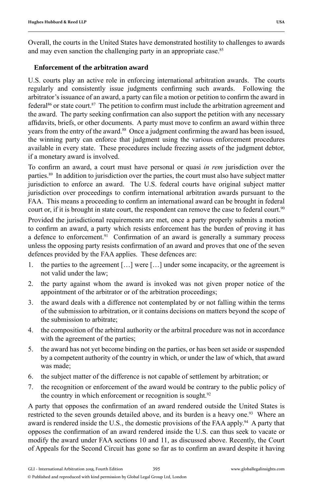Overall, the courts in the United States have demonstrated hostility to challenges to awards and may even sanction the challenging party in an appropriate case.<sup>85</sup>

#### **Enforcement of the arbitration award**

U.S. courts play an active role in enforcing international arbitration awards. The courts regularly and consistently issue judgments confirming such awards. Following the arbitrator's issuance of an award, a party can file a motion or petition to confirm the award in federal<sup>86</sup> or state court.<sup>87</sup> The petition to confirm must include the arbitration agreement and the award. The party seeking confirmation can also support the petition with any necessary affidavits, briefs, or other documents. A party must move to confirm an award within three years from the entry of the award.<sup>88</sup> Once a judgment confirming the award has been issued, the winning party can enforce that judgment using the various enforcement procedures available in every state. These procedures include freezing assets of the judgment debtor, if a monetary award is involved.

To confirm an award, a court must have personal or quasi *in rem* jurisdiction over the parties.89 In addition to jurisdiction over the parties, the court must also have subject matter jurisdiction to enforce an award. The U.S. federal courts have original subject matter jurisdiction over proceedings to confirm international arbitration awards pursuant to the FAA. This means a proceeding to confirm an international award can be brought in federal court or, if it is brought in state court, the respondent can remove the case to federal court.<sup>90</sup>

Provided the jurisdictional requirements are met, once a party properly submits a motion to confirm an award, a party which resists enforcement has the burden of proving it has a defence to enforcement.<sup>91</sup> Confirmation of an award is generally a summary process unless the opposing party resists confirmation of an award and proves that one of the seven defences provided by the FAA applies. These defences are:

- 1. the parties to the agreement […] were […] under some incapacity, or the agreement is not valid under the law;
- 2. the party against whom the award is invoked was not given proper notice of the appointment of the arbitrator or of the arbitration proceedings;
- 3. the award deals with a difference not contemplated by or not falling within the terms of the submission to arbitration, or it contains decisions on matters beyond the scope of the submission to arbitrate;
- 4. the composition of the arbitral authority or the arbitral procedure was not in accordance with the agreement of the parties;
- 5. the award has not yet become binding on the parties, or has been set aside or suspended by a competent authority of the country in which, or under the law of which, that award was made;
- 6. the subject matter of the difference is not capable of settlement by arbitration; or
- 7. the recognition or enforcement of the award would be contrary to the public policy of the country in which enforcement or recognition is sought.<sup>92</sup>

A party that opposes the confirmation of an award rendered outside the United States is restricted to the seven grounds detailed above, and its burden is a heavy one.<sup>93</sup> Where an award is rendered inside the U.S., the domestic provisions of the FAA apply.<sup>94</sup> A party that opposes the confirmation of an award rendered inside the U.S. can thus seek to vacate or modify the award under FAA sections 10 and 11, as discussed above. Recently, the Court of Appeals for the Second Circuit has gone so far as to confirm an award despite it having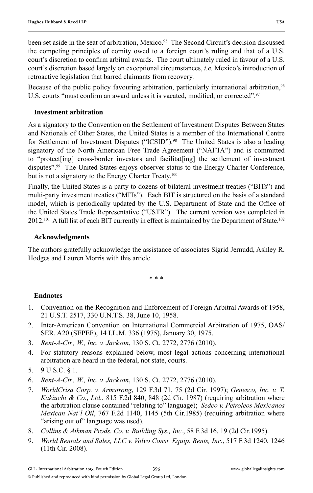been set aside in the seat of arbitration, Mexico.<sup>95</sup> The Second Circuit's decision discussed the competing principles of comity owed to a foreign court's ruling and that of a U.S. court's discretion to confirm arbitral awards. The court ultimately ruled in favour of a U.S. court's discretion based largely on exceptional circumstances, *i.e.* Mexico's introduction of retroactive legislation that barred claimants from recovery.

Because of the public policy favouring arbitration, particularly international arbitration,<sup>96</sup> U.S. courts "must confirm an award unless it is vacated, modified, or corrected".<sup>97</sup>

#### **Investment arbitration**

As a signatory to the Convention on the Settlement of Investment Disputes Between States and Nationals of Other States, the United States is a member of the International Centre for Settlement of Investment Disputes ("ICSID").<sup>98</sup> The United States is also a leading signatory of the North American Free Trade Agreement ("NAFTA") and is committed to "protect[ing] cross-border investors and facilitat[ing] the settlement of investment disputes".99 The United States enjoys observer status to the Energy Charter Conference, but is not a signatory to the Energy Charter Treaty.<sup>100</sup>

Finally, the United States is a party to dozens of bilateral investment treaties ("BITs") and multi-party investment treaties ("MITs"). Each BIT is structured on the basis of a standard model, which is periodically updated by the U.S. Department of State and the Office of the United States Trade Representative ("USTR"). The current version was completed in 2012.<sup>101</sup> A full list of each BIT currently in effect is maintained by the Department of State.<sup>102</sup>

#### **Acknowledgments**

The authors gratefully acknowledge the assistance of associates Sigrid Jernudd, Ashley R. Hodges and Lauren Morris with this article.

\* \* \*

#### **Endnotes**

- 1. Convention on the Recognition and Enforcement of Foreign Arbitral Awards of 1958, 21 U.S.T. 2517, 330 U.N.T.S. 38, June 10, 1958.
- 2. Inter-American Convention on International Commercial Arbitration of 1975, OAS/ SER. A20 (SEPEF), 14 I.L.M. 336 (1975), January 30, 1975.
- 3. *Rent-A-Ctr., W., Inc. v. Jackson*, 130 S. Ct. 2772, 2776 (2010).
- 4. For statutory reasons explained below, most legal actions concerning international arbitration are heard in the federal, not state, courts.
- 5. 9 U.S.C. § 1.
- 6. *Rent-A-Ctr., W., Inc. v. Jackson*, 130 S. Ct. 2772, 2776 (2010).
- 7. *WorldCrisa Corp. v. Armstrong*, 129 F.3d 71, 75 (2d Cir. 1997); *Genesco, Inc. v. T. Kakiuchi & Co.*, *Ltd.*, 815 F.2d 840, 848 (2d Cir. 1987) (requiring arbitration where the arbitration clause contained "relating to" language); *Sedco v. Petroleos Mexicanos Mexican Nat'l Oil*, 767 F.2d 1140, 1145 (5th Cir.1985) (requiring arbitration where "arising out of" language was used).
- 8. *Collins & Aikman Prods. Co. v. Building Sys., Inc.*, 58 F.3d 16, 19 (2d Cir.1995).
- 9. *World Rentals and Sales, LLC v. Volvo Const. Equip. Rents, Inc.*, 517 F.3d 1240, 1246 (11th Cir. 2008).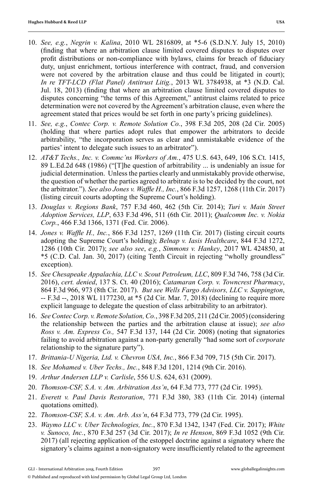- 10. *See, e.g.*, *Negrin v. Kalina*, 2010 WL 2816809, at \*5-6 (S.D.N.Y. July 15, 2010) (finding that where an arbitration clause limited covered disputes to disputes over profit distributions or non-compliance with bylaws, claims for breach of fiduciary duty, unjust enrichment, tortious interference with contract, fraud, and conversion were not covered by the arbitration clause and thus could be litigated in court); *In re TFT-LCD (Flat Panel) Antitrust Litig.*, 2013 WL 3784938, at \*3 (N.D. Cal. Jul. 18, 2013) (finding that where an arbitration clause limited covered disputes to disputes concerning "the terms of this Agreement," antitrust claims related to price determination were not covered by the Agreement's arbitration clause, even where the agreement stated that prices would be set forth in one party's pricing guidelines).
- 11. *See, e.g.*, *Contec Corp. v. Remote Solution Co.*, 398 F.3d 205, 208 (2d Cir. 2005) (holding that where parties adopt rules that empower the arbitrators to decide arbitrability, "the incorporation serves as clear and unmistakable evidence of the parties' intent to delegate such issues to an arbitrator").
- 12. *AT&T Techs., Inc. v. Commc'ns Workers of Am.*, 475 U.S. 643, 649, 106 S.Ct. 1415, 89 L.Ed.2d 648 (1986) ("[T]he question of arbitrability ... is undeniably an issue for judicial determination. Unless the parties clearly and unmistakably provide otherwise, the question of whether the parties agreed to arbitrate is to be decided by the court, not the arbitrator."). *See also Jones v. Waffle H., Inc.*, 866 F.3d 1257, 1268 (11th Cir. 2017) (listing circuit courts adopting the Supreme Court's holding).
- 13. *Douglas v. Regions Bank*, 757 F.3d 460, 462 (5th Cir. 2014); *Turi v. Main Street Adoption Services, LLP*, 633 F.3d 496, 511 (6th Cir. 2011); *Qualcomm Inc. v. Nokia Corp.*, 466 F.3d 1366, 1371 (Fed. Cir. 2006).
- 14. *Jones v. Waffl e H., Inc.*, 866 F.3d 1257, 1269 (11th Cir. 2017) (listing circuit courts adopting the Supreme Court's holding); *Belnap v. Iasis Healthcare*, 844 F.3d 1272, 1286 (10th Cir. 2017); *see also see*, *e.g.*, *Simmons v. Hankey*, 2017 WL 424850, at \*5 (C.D. Cal. Jan. 30, 2017) (citing Tenth Circuit in rejecting "wholly groundless" exception).
- 15. *See Chesapeake Appalachia, LLC v. Scout Petroleum, LLC*, 809 F.3d 746, 758 (3d Cir. 2016), *cert. denied*, 137 S. Ct. 40 (2016); *Catamaran Corp. v. Towncrest Pharmacy*, 864 F.3d 966, 973 (8th Cir. 2017). *But see Wells Fargo Advisors, LLC v. Sappington*, -- F.3d --, 2018 WL 1177230, at \*5 (2d Cir. Mar. 7, 2018) (declining to require more explicit language to delegate the question of class arbitrability to an arbitrator).
- 16. *SeeContec Corp. v. Remote Solution, Co.*, 398 F.3d 205, 211 (2d Cir. 2005) (considering the relationship between the parties and the arbitration clause at issue); *see also Ross v. Am. Express Co.,* 547 F.3d 137, 144 (2d Cir. 2008) (noting that signatories failing to avoid arbitration against a non-party generally "had some sort of *corporate* relationship to the signature party").
- 17. *Brittania-U Nigeria, Ltd. v. Chevron USA, Inc.*, 866 F.3d 709, 715 (5th Cir. 2017).
- 18. *See Mohamed v. Uber Techs., Inc.*, 848 F.3d 1201, 1214 (9th Cir. 2016).
- 19. *Arthur Andersen LLP v. Carlisle*, 556 U.S. 624, 631 (2009).
- 20. *Thomson-CSF, S.A. v. Am. Arbitration Ass'n*, 64 F.3d 773, 777 (2d Cir. 1995).
- 21. *Everett v. Paul Davis Restoration*, 771 F.3d 380, 383 (11th Cir. 2014) (internal quotations omitted).
- 22. *Thomson-CSF, S.A. v. Am. Arb. Ass'n*, 64 F.3d 773, 779 (2d Cir. 1995).
- 23. *Waymo LLC v. Uber Technologies, Inc.*, 870 F.3d 1342, 1347 (Fed. Cir. 2017); *White v. Sunoco, Inc.*, 870 F.3d 257 (3d Cir. 2017); *In re Henson*, 869 F.3d 1052 (9th Cir. 2017) (all rejecting application of the estoppel doctrine against a signatory where the signatory's claims against a non-signatory were insufficiently related to the agreement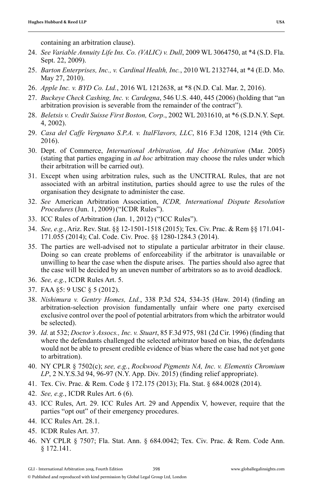- 24. *See Variable Annuity Life Ins. Co. (VALIC) v. Dull*, 2009 WL 3064750, at \*4 (S.D. Fla. Sept. 22, 2009).
- 25. *Barton Enterprises, Inc., v. Cardinal Health, Inc.*, 2010 WL 2132744, at \*4 (E.D. Mo. May 27, 2010).
- 26. *Apple Inc. v. BYD Co. Ltd.*, 2016 WL 1212638, at \*8 (N.D. Cal. Mar. 2, 2016).
- 27. *Buckeye Check Cashing, Inc. v. Cardegna*, 546 U.S. 440, 445 (2006) (holding that "an arbitration provision is severable from the remainder of the contract").
- 28. *Beletsis v. Credit Suisse First Boston, Corp*., 2002 WL 2031610, at \*6 (S.D.N.Y. Sept. 4, 2002).
- 29. *Casa del Caffe Vergnano S.P.A. v. ItalFlavors, LLC*, 816 F.3d 1208, 1214 (9th Cir. 2016).
- 30. Dept. of Commerce, *International Arbitration, Ad Hoc Arbitration* (Mar. 2005) (stating that parties engaging in *ad hoc* arbitration may choose the rules under which their arbitration will be carried out).
- 31. Except when using arbitration rules, such as the UNCITRAL Rules, that are not associated with an arbitral institution, parties should agree to use the rules of the organisation they designate to administer the case.
- 32. *See* American Arbitration Association, *ICDR, International Dispute Resolution Procedures* (Jun. 1, 2009)("ICDR Rules").
- 33. ICC Rules of Arbitration (Jan. 1, 2012) ("ICC Rules").
- 34. *See, e.g.*, Ariz. Rev. Stat. §§ 12-1501-1518 (2015); Tex. Civ. Prac. & Rem §§ 171.041- 171.055 (2014); Cal. Code. Civ. Proc. §§ 1280-1284.3 (2014).
- 35. The parties are well-advised not to stipulate a particular arbitrator in their clause. Doing so can create problems of enforceability if the arbitrator is unavailable or unwilling to hear the case when the dispute arises. The parties should also agree that the case will be decided by an uneven number of arbitrators so as to avoid deadlock.
- 36. *See, e.g.*, ICDR Rules Art. 5.
- 37. FAA §5: 9 USC § 5 (2012).
- 38. *Nishimura v. Gentry Homes, Ltd.*, 338 P.3d 524, 534-35 (Haw. 2014) (finding an arbitration-selection provision fundamentally unfair where one party exercised exclusive control over the pool of potential arbitrators from which the arbitrator would be selected).
- 39. *Id.* at 532; *Doctor's Assocs., Inc. v. Stuart,* 85 F.3d 975, 981 (2d Cir. 1996) (finding that where the defendants challenged the selected arbitrator based on bias, the defendants would not be able to present credible evidence of bias where the case had not yet gone to arbitration).
- 40. NY CPLR § 7502(c); *see, e.g.*, *Rockwood Pigments NA, Inc. v. Elementis Chromium LP*, 2 N.Y.S.3d 94, 96-97 (N.Y. App. Div. 2015) (finding relief appropriate).
- 41. Tex. Civ. Prac. & Rem. Code § 172.175 (2013); Fla. Stat. § 684.0028 (2014).
- 42. *See, e.g.*, ICDR Rules Art. 6 (6).
- 43. ICC Rules, Art. 29. ICC Rules Art. 29 and Appendix V, however, require that the parties "opt out" of their emergency procedures.
- 44. ICC Rules Art. 28.1.
- 45. ICDR Rules Art. 37.
- 46. NY CPLR § 7507; Fla. Stat. Ann. § 684.0042; Tex. Civ. Prac. & Rem. Code Ann. § 172.141.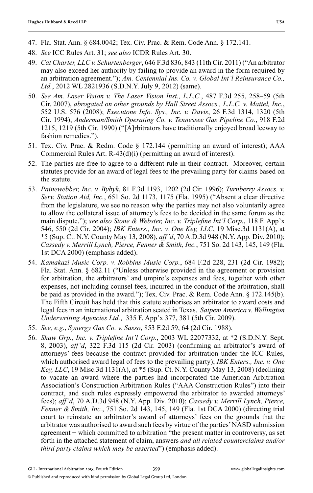- 47. Fla. Stat. Ann. § 684.0042; Tex. Civ. Prac. & Rem. Code Ann. § 172.141.
- 48. *See* ICC Rules Art. 31; *see also* ICDR Rules Art. 30.
- 49. *Cat Charter, LLC v. Schurtenberger*, 646 F.3d 836, 843 (11th Cir. 2011) ("An arbitrator may also exceed her authority by failing to provide an award in the form required by an arbitration agreement."); *Am. Centennial Ins. Co. v. Global Int'l Reinsurance Co., Ltd.*, 2012 WL 2821936 (S.D.N.Y. July 9, 2012) (same).
- 50. *See Am. Laser Vision v. The Laser Vision Inst., L.L.C.*, 487 F.3d 255, 258–59 (5th Cir. 2007), *abrogated on other grounds by Hall Street Assocs., L.L.C. v. Mattel, Inc.*, 552 U.S. 576 (2008); *Executone Info. Sys., Inc. v. Davis*, 26 F.3d 1314, 1320 (5th Cir. 1994); *Anderman/Smith Operating Co. v. Tennessee Gas Pipeline Co.*, 918 F.2d 1215, 1219 (5th Cir. 1990) ("[A]rbitrators have traditionally enjoyed broad leeway to fashion remedies.").
- 51. Tex. Civ. Prac. & Redm. Code § 172.144 (permitting an award of interest); AAA Commercial Rules Art. R-43(d)(i) (permitting an award of interest).
- 52. The parties are free to agree to a different rule in their contract. Moreover, certain statutes provide for an award of legal fees to the prevailing party for claims based on the statute.
- 53. *Painewebber, Inc. v. Bybyk*, 81 F.3d 1193, 1202 (2d Cir. 1996); *Turnberry Assocs. v. Serv. Station Aid, Inc.*, 651 So. 2d 1173, 1175 (Fla. 1995) ("Absent a clear directive from the legislature, we see no reason why the parties may not also voluntarily agree to allow the collateral issue of attorney's fees to be decided in the same forum as the main dispute."); *see also Stone & Webster, Inc. v. Triplefine Int'l Corp.*, 118 F. App'x 546, 550 (2d Cir. 2004); *IBK Enters., Inc. v. One Key, LLC*, 19 Misc.3d 1131(A), at \*5 (Sup. Ct. N.Y. County May 13, 2008), *aff'd*, 70 A.D.3d 948 (N.Y. App. Div. 2010); *Cassedy v. Merrill Lynch, Pierce, Fenner & Smith, Inc.*, 751 So. 2d 143, 145, 149 (Fla. 1st DCA 2000) (emphasis added).
- 54. *Kamakazi Music Corp. v. Robbins Music Corp.*, 684 F.2d 228, 231 (2d Cir. 1982); Fla. Stat. Ann. § 682.11 ("Unless otherwise provided in the agreement or provision for arbitration, the arbitrators' and umpire's expenses and fees, together with other expenses, not including counsel fees, incurred in the conduct of the arbitration, shall be paid as provided in the award."); Tex. Civ. Prac. & Rem. Code Ann. § 172.145(b). The Fifth Circuit has held that this statute authorises an arbitrator to award costs and legal fees in an international arbitration seated in Texas. *Saipem America v. Wellington Underwriting Agencies Ltd.*, 335 F. App'x 377, 381 (5th Cir. 2009).
- 55. *See, e.g*., *Synergy Gas Co. v. Sasso*, 853 F.2d 59, 64 (2d Cir. 1988).
- 56. *Shaw Grp., Inc. v. Triplefine Int'l Corp.*, 2003 WL 22077332, at \*2 (S.D.N.Y. Sept. 8, 2003), *aff'd*, 322 F.3d 115 (2d Cir. 2003) (confirming an arbitrator's award of attorneys' fees because the contract provided for arbitration under the ICC Rules, which authorised award legal of fees to the prevailing party); *IBK Enters., Inc. v. One Key, LLC*, 19 Misc.3d 1131(A), at \*5 (Sup. Ct. N.Y. County May 13, 2008) (declining to vacate an award where the parties had incorporated the American Arbitration Association's Construction Arbitration Rules ("AAA Construction Rules") into their contract, and such rules expressly empowered the arbitrator to awarded attorneys' fees); *aff'd*, 70 A.D.3d 948 (N.Y. App. Div. 2010); *Cassedy v. Merrill Lynch, Pierce, Fenner & Smith, Inc.*, 751 So. 2d 143, 145, 149 (Fla. 1st DCA 2000) (directing trial court to reinstate an arbitrator's award of attorneys' fees on the grounds that the arbitrator was authorised to award such fees by virtue of the parties' NASD submission agreement − which committed to arbitration "the present matter in controversy, as set forth in the attached statement of claim, answers *and all related counterclaims and/or third party claims which may be asserted*") (emphasis added).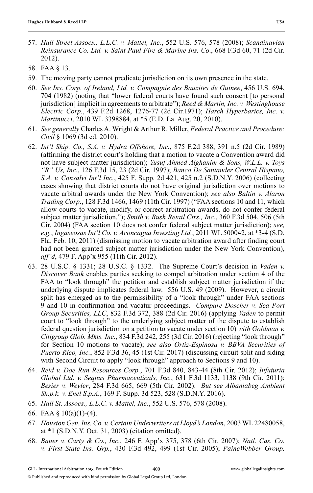- 57. *Hall Street Assocs., L.L.C. v. Mattel, Inc.*, 552 U.S. 576, 578 (2008); *Scandinavian Reinsurance Co. Ltd. v. Saint Paul Fire & Marine Ins. Co*., 668 F.3d 60, 71 (2d Cir. 2012).
- 58. FAA § 13.
- 59. The moving party cannot predicate jurisdiction on its own presence in the state.
- 60. *See Ins. Corp. of Ireland, Ltd. v. Compagnie des Bauxites de Guinee*, 456 U.S. 694, 704 (1982) (noting that "lower federal courts have found such consent [to personal jurisdiction] implicit in agreements to arbitrate"); *Reed & Martin, Inc. v. Westinghouse Electric Corp.*, 439 F.2d 1268, 1276-77 (2d Cir.1971); *Harch Hyperbarics, Inc. v. Martinucci*, 2010 WL 3398884, at \*5 (E.D. La. Aug. 20, 2010).
- 61. *See generally* Charles A. Wright & Arthur R. Miller, *Federal Practice and Procedure: Civil* § 1069 (3d ed. 2010).
- 62. *Int'l Ship. Co., S.A. v. Hydra Offshore, Inc.*, 875 F.2d 388, 391 n.5 (2d Cir. 1989) (affirming the district court's holding that a motion to vacate a Convention award did not have subject matter jurisdiction); *Yusuf Ahmed Alghanim & Sons, W.L.L. v. Toys "R" Us, Inc*., 126 F.3d 15, 23 (2d Cir. 1997); *Banco De Santander Central Hispano, S.A. v. Consalvi Int'l Inc.*, 425 F. Supp. 2d 421, 425 n.2 (S.D.N.Y. 2006) (collecting cases showing that district courts do not have original jurisdiction over motions to vacate arbitral awards under the New York Convention); *see also Baltin v. Alaron Trading Corp*., 128 F.3d 1466, 1469 (11th Cir. 1997) ("FAA sections 10 and 11, which allow courts to vacate, modify, or correct arbitration awards, do not confer federal subject matter jurisdiction."); *Smith v. Rush Retail Ctrs., Inc.*, 360 F.3d 504, 506 (5th Cir. 2004) (FAA section 10 does not confer federal subject matter jurisdiction); *see, e.g.*, *Ingaseosas Int'l Co. v. Aconcagua Investing Ltd.*, 2011 WL 500042, at \*3-4 (S.D. Fla. Feb. 10, 2011) (dismissing motion to vacate arbitration award after finding court had not been granted subject matter jurisdiction under the New York Convention), *aff'd*, 479 F. App'x 955 (11th Cir. 2012).
- 63. 28 U.S.C. § 1331; 28 U.S.C. § 1332. The Supreme Court's decision in *Vaden v. Discover Bank* enables parties seeking to compel arbitration under section 4 of the FAA to "look through" the petition and establish subject matter jurisdiction if the underlying dispute implicates federal law. 556 U.S. 49 (2009). However, a circuit split has emerged as to the permissibility of a "look through" under FAA sections 9 and 10 in confirmation and vacatur proceedings. *Compare Doscher v. Sea Port Group Securities, LLC*, 832 F.3d 372, 388 (2d Cir. 2016) (applying *Vaden* to permit court to "look through" to the underlying subject matter of the dispute to establish federal question jurisdiction on a petition to vacate under section 10) *with Goldman v. Citigroup Glob. Mkts. Inc.*, 834 F.3d 242, 255 (3d Cir. 2016) (rejecting "look through" for Section 10 motions to vacate); *see also Ortiz-Espinosa v. BBVA Securities of Puerto Rico, Inc.*, 852 F.3d 36, 45 (1st Cir. 2017) (discussing circuit split and siding with Second Circuit to apply "look through" approach to Sections 9 and 10).
- 64. *Reid v. Doe Run Resources Corp.*, 701 F.3d 840, 843-44 (8th Cir. 2012); *Infuturia Global Ltd. v. Sequus Pharmaceuticals, Inc.*, 631 F.3d 1133, 1138 (9th Cir. 2011); *Besier v. Weyler*, 284 F.3d 665, 669 (5th Cir. 2002). *But see Albaniabeg Ambient Sh.p.k. v. Enel S.p.A.*, 169 F. Supp. 3d 523, 528 (S.D.N.Y. 2016).
- 65. *Hall St. Assocs., L.L.C. v. Mattel, Inc*., 552 U.S. 576, 578 (2008).
- 66. FAA  $\S$  10(a)(1)-(4).
- 67. *Houston Gen. Ins. Co. v. Certain Underwriters at Lloyd's London*, 2003 WL 22480058, at \*1 (S.D.N.Y. Oct. 31, 2003) (citation omitted).
- 68. *Bauer v. Carty & Co., Inc.*, 246 F. App'x 375, 378 (6th Cir. 2007); *Natl. Cas. Co. v. First State Ins. Grp.*, 430 F.3d 492, 499 (1st Cir. 2005); *PaineWebber Group,*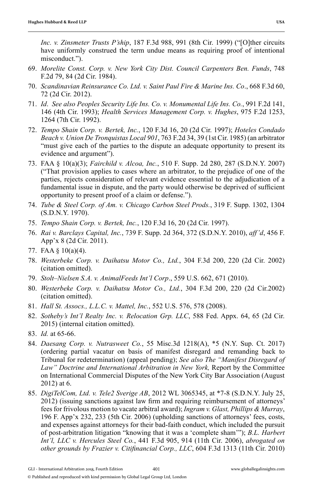*Inc. v. Zinsmeter Trusts P'ship*, 187 F.3d 988, 991 (8th Cir. 1999) ("[O]ther circuits have uniformly construed the term undue means as requiring proof of intentional misconduct.").

- 69. *Morelite Const. Corp. v. New York City Dist. Council Carpenters Ben. Funds*, 748 F.2d 79, 84 (2d Cir. 1984).
- 70. *Scandinavian Reinsurance Co. Ltd. v. Saint Paul Fire & Marine Ins. Co*., 668 F.3d 60, 72 (2d Cir. 2012).
- 71. *Id*. *See also Peoples Security Life Ins. Co. v. Monumental Life Ins. Co.*, 991 F.2d 141, 146 (4th Cir. 1993); *Health Services Management Corp. v. Hughes*, 975 F.2d 1253, 1264 (7th Cir. 1992).
- 72. *Tempo Shain Corp. v. Bertek, Inc.*, 120 F.3d 16, 20 (2d Cir. 1997); *Hoteles Condado Beach v. Union De Tronquistas Local 901*, 763 F.2d 34, 39 (1st Cir. 1985) (an arbitrator "must give each of the parties to the dispute an adequate opportunity to present its evidence and argument").
- 73. FAA § 10(a)(3); *Fairchild v. Alcoa, Inc.*, 510 F. Supp. 2d 280, 287 (S.D.N.Y. 2007) ("That provision applies to cases where an arbitrator, to the prejudice of one of the parties, rejects consideration of relevant evidence essential to the adjudication of a fundamental issue in dispute, and the party would otherwise be deprived of sufficient opportunity to present proof of a claim or defense.").
- 74. *Tube & Steel Corp. of Am. v. Chicago Carbon Steel Prods.*, 319 F. Supp. 1302, 1304 (S.D.N.Y. 1970).
- 75. *Tempo Shain Corp. v. Bertek, Inc.*, 120 F.3d 16, 20 (2d Cir. 1997).
- 76. *Rai v. Barclays Capital, Inc.*, 739 F. Supp. 2d 364, 372 (S.D.N.Y. 2010), *aff'd*, 456 F. App'x 8 (2d Cir. 2011).
- 77. FAA § 10(a)(4).
- 78. *Westerbeke Corp. v. Daihatsu Motor Co., Ltd.*, 304 F.3d 200, 220 (2d Cir. 2002) (citation omitted).
- 79. *Stolt–Nielsen S.A. v. AnimalFeeds Int'l Corp*., 559 U.S. 662, 671 (2010).
- 80. *Westerbeke Corp. v. Daihatsu Motor Co., Ltd.*, 304 F.3d 200, 220 (2d Cir.2002) (citation omitted).
- 81. *Hall St. Assocs., L.L.C. v. Mattel, Inc.*, 552 U.S. 576, 578 (2008).
- 82. *Sotheby's Int'l Realty Inc. v. Relocation Grp. LLC*, 588 Fed. Appx. 64, 65 (2d Cir. 2015) (internal citation omitted).
- 83. *Id.* at 65-66.
- 84. *Daesang Corp. v. Nutrasweet Co.*, 55 Misc.3d 1218(A), \*5 (N.Y. Sup. Ct. 2017) (ordering partial vacatur on basis of manifest disregard and remanding back to Tribunal for redetermination) (appeal pending); *See also The "Manifest Disregard of*  Law" Doctrine and International Arbitration in New York, Report by the Committee on International Commercial Disputes of the New York City Bar Association (August 2012) at 6.
- 85. *DigiTelCom, Ltd. v. Tele2 Sverige AB*, 2012 WL 3065345, at \*7-8 (S.D.N.Y. July 25, 2012) (issuing sanctions against law firm and requiring reimbursement of attorneys' fees for frivolous motion to vacate arbitral award); *Ingram v. Glast, Phillips & Murray*, 196 F. App'x 232, 233 (5th Cir. 2006) (upholding sanctions of attorneys' fees, costs, and expenses against attorneys for their bad-faith conduct, which included the pursuit of post-arbitration litigation "knowing that it was a 'complete sham'"); *B.L. Harbert Int'l, LLC v. Hercules Steel Co.*, 441 F.3d 905, 914 (11th Cir. 2006), *abrogated on other grounds by Frazier v. Citifinancial Corp., LLC*, 604 F.3d 1313 (11th Cir. 2010)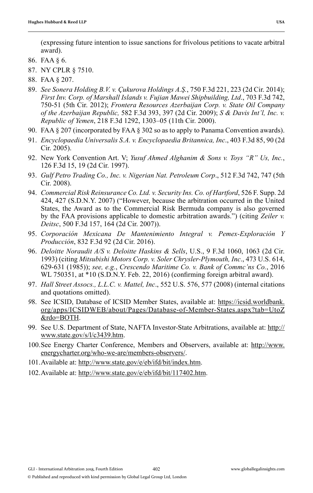(expressing future intention to issue sanctions for frivolous petitions to vacate arbitral award).

- 86. FAA § 6.
- 87. NY CPLR § 7510.
- 88. FAA § 207.
- 89. *See Sonera Holding B.V. v. Çukurova Holdings A.Ş.*, 750 F.3d 221, 223 (2d Cir. 2014); *First Inv. Corp. of Marshall Islands v. Fujian Mawei Shipbuilding, Ltd*., 703 F.3d 742, 750-51 (5th Cir. 2012); *Frontera Resources Azerbaijan Corp. v. State Oil Company of the Azerbaijan Republic,* 582 F.3d 393, 397 (2d Cir. 2009); *S & Davis Int'l, Inc. v. Republic of Yemen*, 218 F.3d 1292, 1303–05 (11th Cir. 2000).
- 90. FAA § 207 (incorporated by FAA § 302 so as to apply to Panama Convention awards).
- 91. *Encyclopaedia Universalis S.A. v. Encyclopaedia Britannica, Inc*., 403 F.3d 85, 90 (2d Cir. 2005).
- 92. New York Convention Art. V; *Yusuf Ahmed Alghanim & Sons v. Toys "R" Us, Inc.*, 126 F.3d 15, 19 (2d Cir. 1997).
- 93. *Gulf Petro Trading Co., Inc. v. Nigerian Nat. Petroleum Corp*., 512 F.3d 742, 747 (5th Cir. 2008).
- 94. *Commercial Risk Reinsurance Co. Ltd. v. Security Ins. Co. of Hartford*, 526 F. Supp. 2d 424, 427 (S.D.N.Y. 2007) ("However, because the arbitration occurred in the United States, the Award as to the Commercial Risk Bermuda company is also governed by the FAA provisions applicable to domestic arbitration awards.") (citing *Zeiler v. Deitsc*, 500 F.3d 157, 164 (2d Cir. 2007)).
- 95. *Corporación Mexicana De Mantenimiento Integral v. Pemex-Exploración Y Producción*, 832 F.3d 92 (2d Cir. 2016).
- 96. *Deloitte Noraudit A/S v. Deloitte Haskins & Sells*, U.S., 9 F.3d 1060, 1063 (2d Cir. 1993) (citing *Mitsubishi Motors Corp. v. Soler Chrysler-Plymouth, Inc*., 473 U.S. 614, 629-631 (1985)); *see, e.g.*, *Crescendo Maritime Co. v. Bank of Commc'ns Co.*, 2016 WL 750351, at \*10 (S.D.N.Y. Feb. 22, 2016) (confirming foreign arbitral award).
- 97. *Hall Street Assocs., L.L.C. v. Mattel, Inc*., 552 U.S. 576, 577 (2008) (internal citations and quotations omitted).
- *9*8. See ICSID, Database of ICSID Member States, available at: https://icsid.worldbank. org/apps/ICSIDWEB/about/Pages/Database-of-Member-States.aspx?tab=UtoZ &rdo=BOTH.
- 99. See U.S. Department of State, NAFTA Investor-State Arbitrations, available at: http:// www.state.gov/s/l/c3439.htm.
- 100. See Energy Charter Conference, Members and Observers, available at: http://www. energycharter.org/who-we-are/members-observers/.
- 101. Available at: http://www.state.gov/e/eb/ifd/bit/index.htm.
- 102. Available at: http://www.state.gov/e/eb/ifd/bit/117402.htm.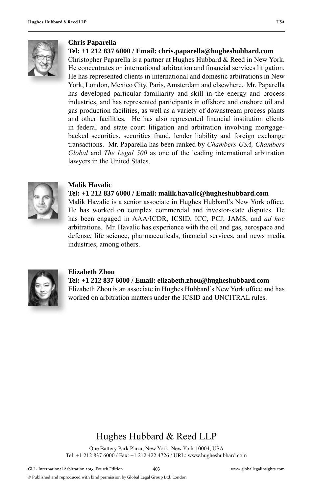

#### **Chris Paparella**

#### **Tel: +1 212 837 6000 / Email: chris.paparella@hugheshubbard.com**

Christopher Paparella is a partner at Hughes Hubbard & Reed in New York. He concentrates on international arbitration and financial services litigation. He has represented clients in international and domestic arbitrations in New York, London, Mexico City, Paris, Amsterdam and elsewhere. Mr. Paparella has developed particular familiarity and skill in the energy and process industries, and has represented participants in offshore and onshore oil and gas production facilities, as well as a variety of downstream process plants and other facilities. He has also represented financial institution clients in federal and state court litigation and arbitration involving mortgagebacked securities, securities fraud, lender liability and foreign exchange transactions. Mr. Paparella has been ranked by *Chambers USA, Chambers Global* and *The Legal 500* as one of the leading international arbitration lawyers in the United States.



#### **Malik Havalic**

#### **Tel: +1 212 837 6000 / Email: malik.havalic@hugheshubbard.com**

Malik Havalic is a senior associate in Hughes Hubbard's New York office. He has worked on complex commercial and investor-state disputes. He has been engaged in AAA/ICDR, ICSID, ICC, PCJ, JAMS, and *ad hoc* arbitrations. Mr. Havalic has experience with the oil and gas, aerospace and defense, life science, pharmaceuticals, financial services, and news media industries, among others.



#### **Elizabeth Zhou**

**Tel: +1 212 837 6000 / Email: elizabeth.zhou@hugheshubbard.com** Elizabeth Zhou is an associate in Hughes Hubbard's New York office and has worked on arbitration matters under the ICSID and UNCITRAL rules.

## Hughes Hubbard & Reed LLP

One Battery Park Plaza; New York, New York 10004, USA Tel: +1 212 837 6000 / Fax: +1 212 422 4726 / URL: www.hugheshubbard.com

<sup>©</sup> Published and reproduced with kind permission by Global Legal Group Ltd, London